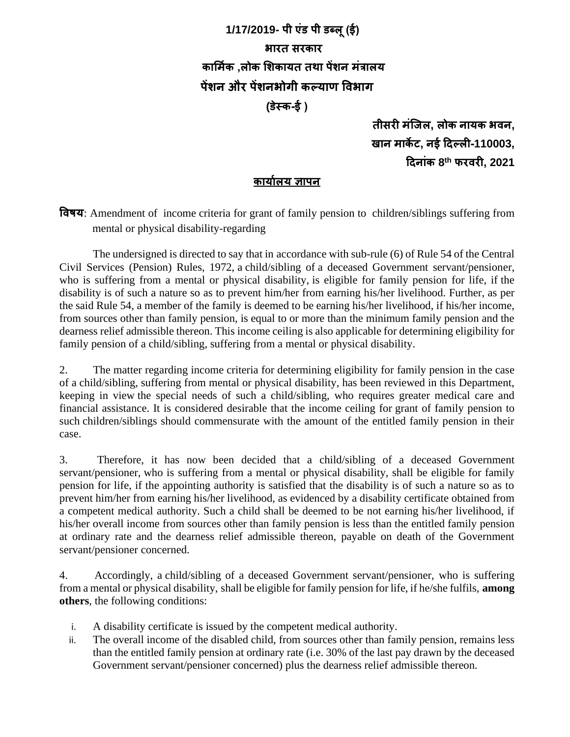## **1/17/2019- पी एंड पी डब्लू(ई) भारत सरकार कार्मिक ,लोक र्िकायत तथा पेंिन मंत्रालय पेंिन और पेंिनभोगी कल्याण विभाग (डेस्क-ई (**

**तीसरी मंजिल, लोक नायक भिन, खान माके ट, नई दिल्ली-110003, दिनांक 8 th फरिरी, 2021**

## **कायािलय ज्ञापन**

**विषय**: Amendment of income criteria for grant of family pension to children/siblings suffering from mental or physical disability-regarding

The undersigned is directed to say that in accordance with sub-rule (6) of Rule 54 of the Central Civil Services (Pension) Rules, 1972, a child/sibling of a deceased Government servant/pensioner, who is suffering from a mental or physical disability, is eligible for family pension for life, if the disability is of such a nature so as to prevent him/her from earning his/her livelihood. Further, as per the said Rule 54, a member of the family is deemed to be earning his/her livelihood, if his/her income, from sources other than family pension, is equal to or more than the minimum family pension and the dearness relief admissible thereon. This income ceiling is also applicable for determining eligibility for family pension of a child/sibling, suffering from a mental or physical disability.

2. The matter regarding income criteria for determining eligibility for family pension in the case of a child/sibling, suffering from mental or physical disability, has been reviewed in this Department, keeping in view the special needs of such a child/sibling, who requires greater medical care and financial assistance. It is considered desirable that the income ceiling for grant of family pension to such children/siblings should commensurate with the amount of the entitled family pension in their case.

3. Therefore, it has now been decided that a child/sibling of a deceased Government servant/pensioner, who is suffering from a mental or physical disability, shall be eligible for family pension for life, if the appointing authority is satisfied that the disability is of such a nature so as to prevent him/her from earning his/her livelihood, as evidenced by a disability certificate obtained from a competent medical authority. Such a child shall be deemed to be not earning his/her livelihood, if his/her overall income from sources other than family pension is less than the entitled family pension at ordinary rate and the dearness relief admissible thereon, payable on death of the Government servant/pensioner concerned.

4. Accordingly, a child/sibling of a deceased Government servant/pensioner, who is suffering from a mental or physical disability, shall be eligible for family pension for life, if he/she fulfils, **among others**, the following conditions:

- i. A disability certificate is issued by the competent medical authority.
- ii. The overall income of the disabled child, from sources other than family pension, remains less than the entitled family pension at ordinary rate (i.e. 30% of the last pay drawn by the deceased Government servant/pensioner concerned) plus the dearness relief admissible thereon.